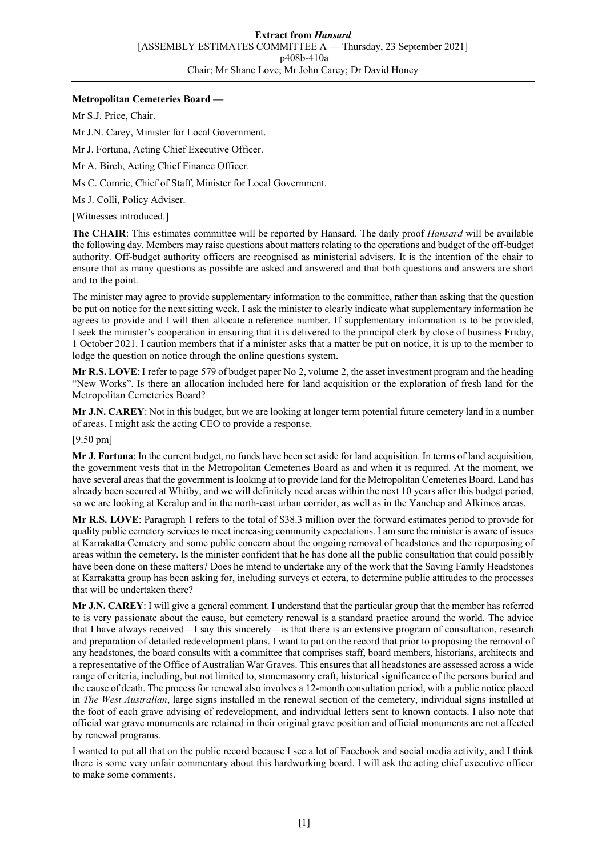## **Metropolitan Cemeteries Board —**

Mr S.J. Price, Chair.

Mr J.N. Carey, Minister for Local Government.

Mr J. Fortuna, Acting Chief Executive Officer.

Mr A. Birch, Acting Chief Finance Officer.

Ms C. Comrie, Chief of Staff, Minister for Local Government.

Ms J. Colli, Policy Adviser.

[Witnesses introduced.]

**The CHAIR**: This estimates committee will be reported by Hansard. The daily proof *Hansard* will be available the following day. Members may raise questions about matters relating to the operations and budget of the off-budget authority. Off-budget authority officers are recognised as ministerial advisers. It is the intention of the chair to ensure that as many questions as possible are asked and answered and that both questions and answers are short and to the point.

The minister may agree to provide supplementary information to the committee, rather than asking that the question be put on notice for the next sitting week. I ask the minister to clearly indicate what supplementary information he agrees to provide and I will then allocate a reference number. If supplementary information is to be provided, I seek the minister's cooperation in ensuring that it is delivered to the principal clerk by close of business Friday, 1 October 2021. I caution members that if a minister asks that a matter be put on notice, it is up to the member to lodge the question on notice through the online questions system.

**Mr R.S. LOVE**: I refer to page 579 of budget paper No 2, volume 2, the asset investment program and the heading "New Works". Is there an allocation included here for land acquisition or the exploration of fresh land for the Metropolitan Cemeteries Board?

**Mr J.N. CAREY**: Not in this budget, but we are looking at longer term potential future cemetery land in a number of areas. I might ask the acting CEO to provide a response.

[9.50 pm]

**Mr J. Fortuna**: In the current budget, no funds have been set aside for land acquisition. In terms of land acquisition, the government vests that in the Metropolitan Cemeteries Board as and when it is required. At the moment, we have several areas that the government is looking at to provide land for the Metropolitan Cemeteries Board. Land has already been secured at Whitby, and we will definitely need areas within the next 10 years after this budget period, so we are looking at Keralup and in the north-east urban corridor, as well as in the Yanchep and Alkimos areas.

**Mr R.S. LOVE**: Paragraph 1 refers to the total of \$38.3 million over the forward estimates period to provide for quality public cemetery services to meet increasing community expectations. I am sure the minister is aware of issues at Karrakatta Cemetery and some public concern about the ongoing removal of headstones and the repurposing of areas within the cemetery. Is the minister confident that he has done all the public consultation that could possibly have been done on these matters? Does he intend to undertake any of the work that the Saving Family Headstones at Karrakatta group has been asking for, including surveys et cetera, to determine public attitudes to the processes that will be undertaken there?

**Mr J.N. CAREY**: I will give a general comment. I understand that the particular group that the member has referred to is very passionate about the cause, but cemetery renewal is a standard practice around the world. The advice that I have always received—I say this sincerely—is that there is an extensive program of consultation, research and preparation of detailed redevelopment plans. I want to put on the record that prior to proposing the removal of any headstones, the board consults with a committee that comprises staff, board members, historians, architects and a representative of the Office of Australian War Graves. This ensures that all headstones are assessed across a wide range of criteria, including, but not limited to, stonemasonry craft, historical significance of the persons buried and the cause of death. The process for renewal also involves a 12-month consultation period, with a public notice placed in *The West Australian*, large signs installed in the renewal section of the cemetery, individual signs installed at the foot of each grave advising of redevelopment, and individual letters sent to known contacts. I also note that official war grave monuments are retained in their original grave position and official monuments are not affected by renewal programs.

I wanted to put all that on the public record because I see a lot of Facebook and social media activity, and I think there is some very unfair commentary about this hardworking board. I will ask the acting chief executive officer to make some comments.